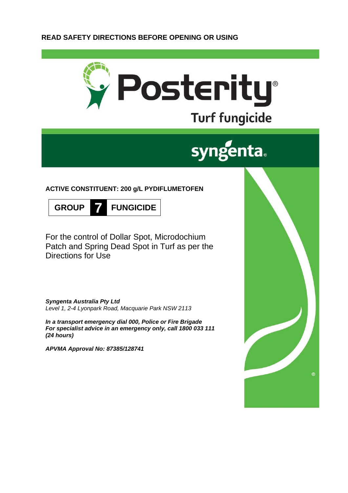# **READ SAFETY DIRECTIONS BEFORE OPENING OR USING**



# syngenta.

# **ACTIVE CONSTITUENT: 200 g/L PYDIFLUMETOFEN**



For the control of Dollar Spot, Microdochium Patch and Spring Dead Spot in Turf as per the Directions for Use

*Syngenta Australia Pty Ltd Level 1, 2-4 Lyonpark Road, Macquarie Park NSW 2113*

*In a transport emergency dial 000, Police or Fire Brigade For specialist advice in an emergency only, call 1800 033 111 (24 hours)*

*APVMA Approval No: 87385/128741*

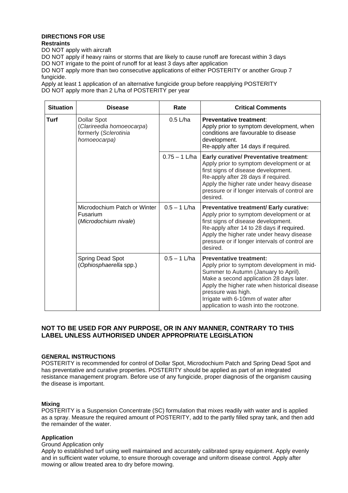#### **DIRECTIONS FOR USE Restraints**

DO NOT apply with aircraft

DO NOT apply if heavy rains or storms that are likely to cause runoff are forecast within 3 days DO NOT irrigate to the point of runoff for at least 3 days after application

DO NOT apply more than two consecutive applications of either POSTERITY or another Group 7 fungicide.

Apply at least 1 application of an alternative fungicide group before reapplying POSTERITY DO NOT apply more than 2 L/ha of POSTERITY per year

| <b>Situation</b> | <b>Disease</b>                                                                    | Rate            | <b>Critical Comments</b>                                                                                                                                                                                                                                                                                                 |
|------------------|-----------------------------------------------------------------------------------|-----------------|--------------------------------------------------------------------------------------------------------------------------------------------------------------------------------------------------------------------------------------------------------------------------------------------------------------------------|
| Turf             | Dollar Spot<br>(Clarireedia homoeocarpa)<br>formerly (Sclerotinia<br>homoeocarpa) | $0.5$ L/ha      | Preventative treatment:<br>Apply prior to symptom development, when<br>conditions are favourable to disease<br>development.<br>Re-apply after 14 days if required.                                                                                                                                                       |
|                  |                                                                                   | $0.75 - 1$ L/ha | Early curative/ Preventative treatment:<br>Apply prior to symptom development or at<br>first signs of disease development.<br>Re-apply after 28 days if required.<br>Apply the higher rate under heavy disease<br>pressure or if longer intervals of control are<br>desired.                                             |
|                  | Microdochium Patch or Winter<br>Fusarium<br>(Microdochium nivale)                 | $0.5 - 1$ L/ha  | Preventative treatment/ Early curative:<br>Apply prior to symptom development or at<br>first signs of disease development.<br>Re-apply after 14 to 28 days if required.<br>Apply the higher rate under heavy disease<br>pressure or if longer intervals of control are<br>desired.                                       |
|                  | Spring Dead Spot<br>(Ophiosphaerella spp.)                                        | $0.5 - 1$ L/ha  | <b>Preventative treatment:</b><br>Apply prior to symptom development in mid-<br>Summer to Autumn (January to April).<br>Make a second application 28 days later.<br>Apply the higher rate when historical disease<br>pressure was high.<br>Irrigate with 6-10mm of water after<br>application to wash into the rootzone. |

# **NOT TO BE USED FOR ANY PURPOSE, OR IN ANY MANNER, CONTRARY TO THIS LABEL UNLESS AUTHORISED UNDER APPROPRIATE LEGISLATION**

## **GENERAL INSTRUCTIONS**

POSTERITY is recommended for control of Dollar Spot, Microdochium Patch and Spring Dead Spot and has preventative and curative properties. POSTERITY should be applied as part of an integrated resistance management program. Before use of any fungicide, proper diagnosis of the organism causing the disease is important.

#### **Mixing**

POSTERITY is a Suspension Concentrate (SC) formulation that mixes readily with water and is applied as a spray. Measure the required amount of POSTERITY, add to the partly filled spray tank, and then add the remainder of the water.

#### **Application**

Ground Application only

Apply to established turf using well maintained and accurately calibrated spray equipment. Apply evenly and in sufficient water volume, to ensure thorough coverage and uniform disease control. Apply after mowing or allow treated area to dry before mowing.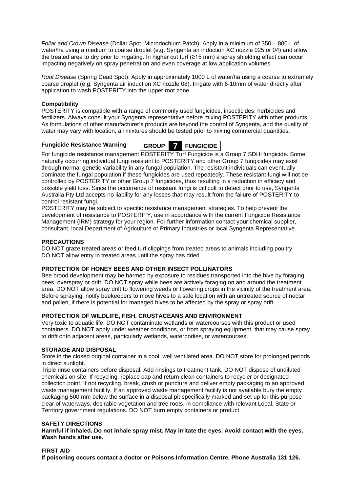*Foliar and Crown Disease* (Dollar Spot, Microdochium Patch): Apply in a minimum of 350 – 800 L of water/ha using a medium to coarse droplet (e.g. Syngenta air induction XC nozzle 025 or 04) and allow the treated area to dry prior to irrigating. In higher cut turf (≥15 mm) a spray shielding effect can occur, impacting negatively on spray penetration and even coverage at low application volumes.

*Root Disease* (Spring Dead Spot): Apply in approximately 1000 L of water/ha using a coarse to extremely coarse droplet (e.g. Syngenta air induction XC nozzle 08). Irrigate with 6-10mm of water directly after application to wash POSTERITY into the upper root zone.

## **Compatibility**

POSTERITY is compatible with a range of commonly used fungicides, insecticides, herbicides and fertilizers. Always consult your Syngenta representative before mixing POSTERITY with other products. As formulations of other manufacturer's products are beyond the control of Syngenta, and the quality of water may vary with location, all mixtures should be tested prior to mixing commercial quantities.

# **Fungicide Resistance Warning GROUP 7 FUNGICIDE**

For fungicide resistance management POSTERITY Turf Fungicide is a Group 7 SDHI fungicide. Some naturally occurring individual fungi resistant to POSTERITY and other Group 7 fungicides may exist

through normal genetic variability in any fungal population. The resistant individuals can eventually dominate the fungal population if these fungicides are used repeatedly. These resistant fungi will not be controlled by POSTERITY or other Group 7 fungicides, thus resulting in a reduction in efficacy and possible yield loss. Since the occurrence of resistant fungi is difficult to detect prior to use, Syngenta Australia Pty Ltd accepts no liability for any losses that may result from the failure of POSTERITY to control resistant fungi.

POSTERITY may be subject to specific resistance management strategies. To help prevent the development of resistance to POSTERITY, use in accordance with the current Fungicide Resistance Management (IRM) strategy for your region. For further information contact your chemical supplier, consultant, local Department of Agriculture or Primary Industries or local Syngenta Representative.

# **PRECAUTIONS**

DO NOT graze treated areas or feed turf clippings from treated areas to animals including poultry. DO NOT allow entry in treated areas until the spray has dried.

## **PROTECTION OF HONEY BEES AND OTHER INSECT POLLINATORS**

Bee brood development may be harmed by exposure to residues transported into the hive by foraging bees, overspray or drift. DO NOT spray while bees are actively foraging on and around the treatment area. DO NOT allow spray drift to flowering weeds or flowering crops in the vicinity of the treatment area. Before spraying, notify beekeepers to move hives to a safe location with an untreated source of nectar and pollen, if there is potential for managed hives to be affected by the spray or spray drift.

## **PROTECTION OF WILDLIFE, FISH, CRUSTACEANS AND ENVIRONMENT**

Very toxic to aquatic life. DO NOT contaminate wetlands or watercourses with this product or used containers. DO NOT apply under weather conditions, or from spraying equipment, that may cause spray to drift onto adjacent areas, particularly wetlands, waterbodies, or watercourses.

## **STORAGE AND DISPOSAL**

Store in the closed original container in a cool, well ventilated area. DO NOT store for prolonged periods in direct sunlight.

Triple rinse containers before disposal. Add rinsings to treatment tank. DO NOT dispose of undiluted chemicals on site. If recycling, replace cap and return clean containers to recycler or designated collection point. If not recycling, break, crush or puncture and deliver empty packaging to an approved waste management facility. If an approved waste management facility is not available bury the empty packaging 500 mm below the surface in a disposal pit specifically marked and set up for this purpose clear of waterways, desirable vegetation and tree roots, in compliance with relevant Local, State or Territory government regulations. DO NOT burn empty containers or product.

## **SAFETY DIRECTIONS**

**Harmful if inhaled. Do not inhale spray mist. May irritate the eyes. Avoid contact with the eyes. Wash hands after use.**

## **FIRST AID**

**If poisoning occurs contact a doctor or Poisons Information Centre. Phone Australia 131 126.**